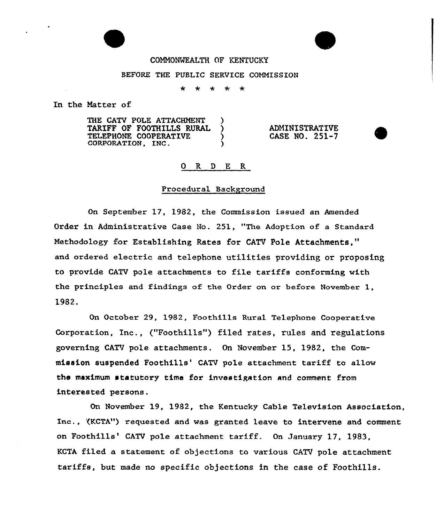# COMMONWEALTH OF KENTUCKY

#### BEFORE THE PUBLIC SERVICE COMMISSION

 $\ddot{\phantom{1}}$ ÷  $\star$  $\star$  $\star$ 

In the Matter of

THE CATV POLE ATTACHMENT TARIFF OF FOOTHILLS RURAL TELEPHONE COOPERATIVE CORPORATION, INC.

ADMINISTRATIVE CASE NO. 251-7

## 0 R <sup>D</sup> E R

#### Procedural Background

On September 17, 1982, the Commission issued an Amended Order in Administrative Case No. 251, "The Adoption of a Standard Methodology for Establishing Rates for CATV Pole Attachments," and ordered electric and telephone utilities providing or proposing to provide CATV pole attachments to file tariffs conforming with the principles and findings of the Order on or before November 1, 1982.

On October 29, 1982, Foothi11s Rural Te1ephone Cooperative Corporation, Inc., ("Foothills") filed rates, rules and regulations governing CATV pole attachments. On November 15, 1982, the Commission suspended Foothills'ATV pole attachment tariff to allow the maximum statutory time for investigation and comment from interested persons.

On November 19, 1982, the Kentucky Cable Television Association, Inc., '(KCTA") requested and was granted leave to intervene and comment on Foothills' CATV pole attachment tariff. On January 17, 1983, KCTA filed a statement of objections to various CATV pole attachment tariffs, but made no specific objections in the case of Foothills.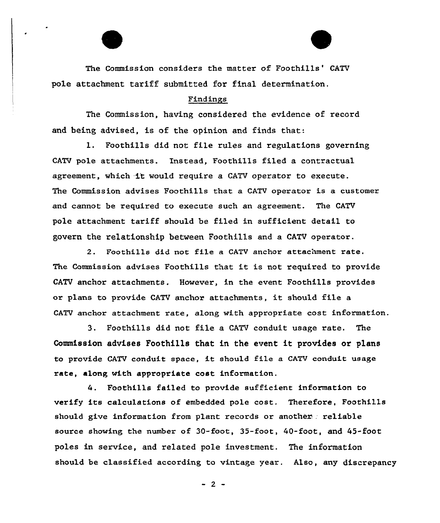The Commission considers the matter of Foothills' CATV pole attachment tariff submitted for final determination.

#### Findings

The Commission, having considered the evidence of record and heing advised, is of the opinion and finds that:

l. Foothills did not file rules and regulations governing CATV pole attachments. Instead, Foothills filed a contractual agreement, which it would require a CATV operator to execute. The Commission advises Foothills that a CATV opexator is a customer and cannot be required to execute such an agreement. The CATV pole attachment tariff should be filed in sufficient detail to govern the relationship between Foothills and a CATV operator.

2. Foothills did not file a CATV anchor attachment rate. The Commission advises Foothills that it is not required to provide CATV anchor attachments. However, in the event Foothills provides or plans to provide CATV anchor attachments, it should file <sup>a</sup> CATV anchox attachment xate, along with appropxiate cost information.

3. Foothills did not file a CATV conduit usage rate. The Commission advises Foothills that in the event it provides or plans to provide CATV conduit space, it should fi1e <sup>a</sup> CATV conduit usage rate, along with appropriate cost information.

4. Foothills failed to provide sufficient information to verify its calculations of embedded pole cost. Therefore, Foothills should give information from plant records or another. reliable source showing the number of 30-foot, 35-foot, 40-foot, and 45-foot poles in service, and related pole investment. The information should be classified according to vintage year. Also, any discrepancy

 $-2-$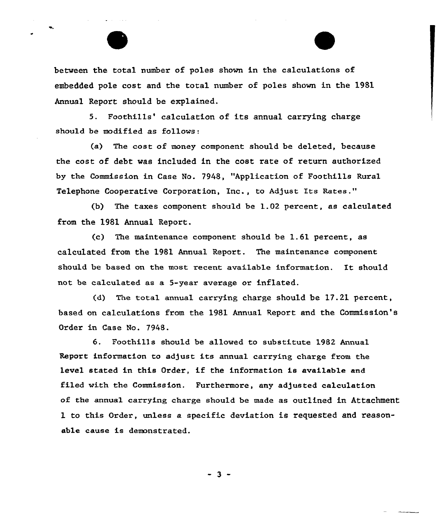between the total number of poles shown in the calculations of embedded pole cost and the total number of poles shown in the 1981 Annual Report should be explained.

5. Foothills' calculation of its annual carrying charge should be modified as follows:

(a) The cost of money component should be deleted, because the cost of debt was included in the cost rate of return authorized by the Commission in Case No. 7948, "Application of Foothills Rural Telephone Cooperative Corporation, Inc., to Adjust Its Rates."

(b) The taxes component should be 1.02 pexcent, as calculated from the 1981 Annual Report.

 $(c)$  The maintenance component should be 1.61 percent, as ca1culated fx'om the 1981 Annual Report. The maintenance component should be based on the most recent available information. It should not be calculated as a 5-year average or inflated.

(d) The total annual carxying charge should be 17.21 percent, based on calculations from the 1981 Annual Repoxt and the Commission's Order in Case No. 7948.

6. Foothills should be allowed to substitute 1982 Annual Report information to adjust its annual carrying charge from the level stated in this Order, if the information is available and filed with the Commission. Furthermore, any adjusted calculation of the annual carrying charge should be made as outlined in Attachment 1 to this Order, unless a specific deviation is requested and reasonable cause is demonstrated.

- 3 -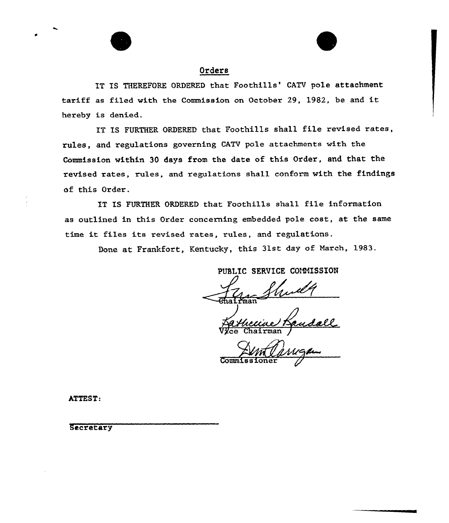

## Orders

IT IS THEREFORE ORDERED that Foothills' CATV pole attachment tariff as filed with the Commission on October 29, 1982, be and it, hereby is denied.

IT IS FURTHER ORDERED that Foothills shall file revised rates, rules, and regulations governing CATV pole attachments with the Commission within 30 days from the date of this Order, and that the revised rates, rules, and regulations shall conform with the findings of this Order.

IT IS FURTHER ORDERED that Foothills shall file information as outlined in this Order concerning embedded pole cost, at the same time it files its revised rates, rules, and regulations.

Done at Frankfort, Kentucky, this 31st day of March, 1983.

PUBLIC SERVICE COMMISSION

Vyce Chairman /

Commis sioner

ATTEST:

Secretary